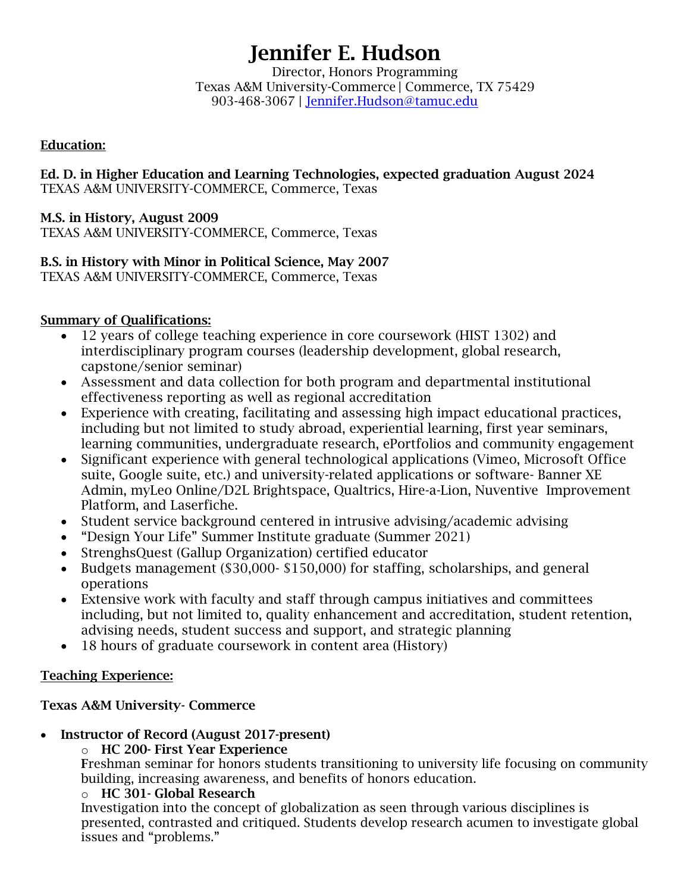# Jennifer E. Hudson

Director, Honors Programming Texas A&M University-Commerce | Commerce, TX 75429 903-468-3067 | [Jennifer.Hudson@tamuc.edu](mailto:Jennifer.Hudson@tamuc.edu)

## Education:

Ed. D. in Higher Education and Learning Technologies, expected graduation August 2024 TEXAS A&M UNIVERSITY-COMMERCE, Commerce, Texas

## M.S. in History, August 2009

TEXAS A&M UNIVERSITY-COMMERCE, Commerce, Texas

# B.S. in History with Minor in Political Science, May 2007

TEXAS A&M UNIVERSITY-COMMERCE, Commerce, Texas

## Summary of Qualifications:

- 12 years of college teaching experience in core coursework (HIST 1302) and interdisciplinary program courses (leadership development, global research, capstone/senior seminar)
- Assessment and data collection for both program and departmental institutional effectiveness reporting as well as regional accreditation
- Experience with creating, facilitating and assessing high impact educational practices, including but not limited to study abroad, experiential learning, first year seminars, learning communities, undergraduate research, ePortfolios and community engagement
- Significant experience with general technological applications (Vimeo, Microsoft Office suite, Google suite, etc.) and university-related applications or software- Banner XE Admin, myLeo Online/D2L Brightspace, Qualtrics, Hire-a-Lion, Nuventive Improvement Platform, and Laserfiche.
- Student service background centered in intrusive advising/academic advising
- "Design Your Life" Summer Institute graduate (Summer 2021)
- StrenghsQuest (Gallup Organization) certified educator
- Budgets management (\$30,000- \$150,000) for staffing, scholarships, and general operations
- Extensive work with faculty and staff through campus initiatives and committees including, but not limited to, quality enhancement and accreditation, student retention, advising needs, student success and support, and strategic planning
- 18 hours of graduate coursework in content area (History)

## Teaching Experience:

## Texas A&M University- Commerce

- Instructor of Record (August 2017-present)
	- o HC 200- First Year Experience

Freshman seminar for honors students transitioning to university life focusing on community building, increasing awareness, and benefits of honors education.

## o HC 301- Global Research

Investigation into the concept of globalization as seen through various disciplines is presented, contrasted and critiqued. Students develop research acumen to investigate global issues and "problems."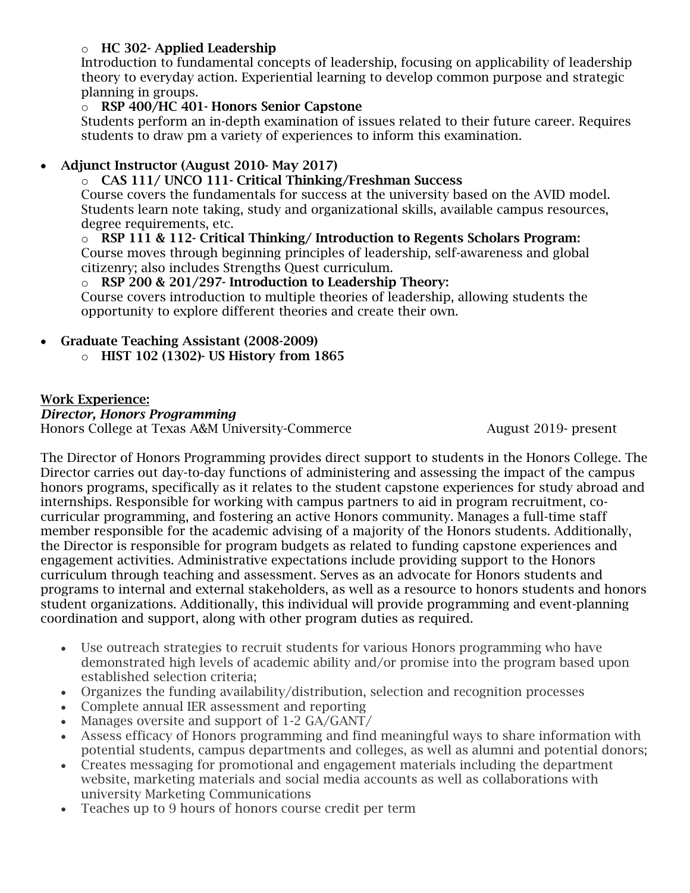## o HC 302- Applied Leadership

Introduction to fundamental concepts of leadership, focusing on applicability of leadership theory to everyday action. Experiential learning to develop common purpose and strategic planning in groups.

## o RSP 400/HC 401- Honors Senior Capstone

Students perform an in-depth examination of issues related to their future career. Requires students to draw pm a variety of experiences to inform this examination.

# • Adjunct Instructor (August 2010- May 2017)

## o CAS 111/ UNCO 111- Critical Thinking/Freshman Success

Course covers the fundamentals for success at the university based on the AVID model. Students learn note taking, study and organizational skills, available campus resources, degree requirements, etc.

## $\circ$  RSP 111 & 112- Critical Thinking/Introduction to Regents Scholars Program:

Course moves through beginning principles of leadership, self-awareness and global citizenry; also includes Strengths Quest curriculum.

## o RSP 200 & 201/297- Introduction to Leadership Theory:

Course covers introduction to multiple theories of leadership, allowing students the opportunity to explore different theories and create their own.

# Graduate Teaching Assistant (2008-2009)

o HIST 102 (1302)- US History from 1865

## Work Experience:

## *Director, Honors Programming*

Honors College at Texas A&M University-Commerce August 2019- present

The Director of Honors Programming provides direct support to students in the Honors College. The Director carries out day-to-day functions of administering and assessing the impact of the campus honors programs, specifically as it relates to the student capstone experiences for study abroad and internships. Responsible for working with campus partners to aid in program recruitment, cocurricular programming, and fostering an active Honors community. Manages a full-time staff member responsible for the academic advising of a majority of the Honors students. Additionally, the Director is responsible for program budgets as related to funding capstone experiences and engagement activities. Administrative expectations include providing support to the Honors curriculum through teaching and assessment. Serves as an advocate for Honors students and programs to internal and external stakeholders, as well as a resource to honors students and honors student organizations. Additionally, this individual will provide programming and event-planning coordination and support, along with other program duties as required.

- Use outreach strategies to recruit students for various Honors programming who have demonstrated high levels of academic ability and/or promise into the program based upon established selection criteria;
- Organizes the funding availability/distribution, selection and recognition processes
- Complete annual IER assessment and reporting
- Manages oversite and support of 1-2 GA/GANT/
- Assess efficacy of Honors programming and find meaningful ways to share information with potential students, campus departments and colleges, as well as alumni and potential donors;
- Creates messaging for promotional and engagement materials including the department website, marketing materials and social media accounts as well as collaborations with university Marketing Communications
- Teaches up to 9 hours of honors course credit per term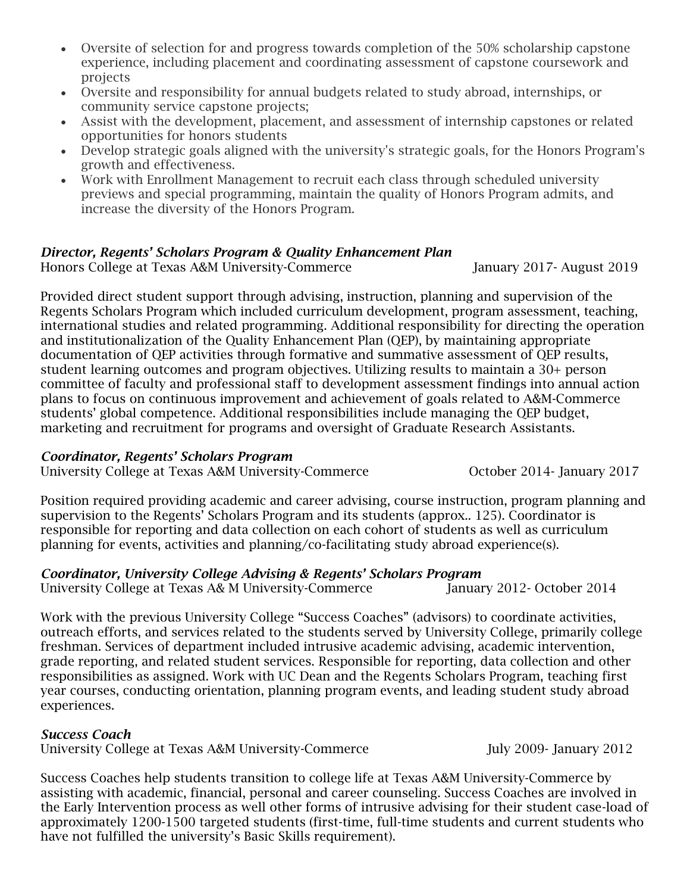- Oversite of selection for and progress towards completion of the 50% scholarship capstone experience, including placement and coordinating assessment of capstone coursework and projects
- Oversite and responsibility for annual budgets related to study abroad, internships, or community service capstone projects;
- Assist with the development, placement, and assessment of internship capstones or related opportunities for honors students
- Develop strategic goals aligned with the university's strategic goals, for the Honors Program's growth and effectiveness.
- Work with Enrollment Management to recruit each class through scheduled university previews and special programming, maintain the quality of Honors Program admits, and increase the diversity of the Honors Program.

## *Director, Regents' Scholars Program & Quality Enhancement Plan*

Honors College at Texas A&M University-Commerce January 2017- August 2019

Provided direct student support through advising, instruction, planning and supervision of the Regents Scholars Program which included curriculum development, program assessment, teaching, international studies and related programming. Additional responsibility for directing the operation and institutionalization of the Quality Enhancement Plan (QEP), by maintaining appropriate documentation of QEP activities through formative and summative assessment of QEP results, student learning outcomes and program objectives. Utilizing results to maintain a 30+ person committee of faculty and professional staff to development assessment findings into annual action plans to focus on continuous improvement and achievement of goals related to A&M-Commerce students' global competence. Additional responsibilities include managing the QEP budget, marketing and recruitment for programs and oversight of Graduate Research Assistants.

# *Coordinator, Regents' Scholars Program*

University College at Texas A&M University-Commerce October 2014- January 2017

Position required providing academic and career advising, course instruction, program planning and supervision to the Regents' Scholars Program and its students (approx.. 125). Coordinator is responsible for reporting and data collection on each cohort of students as well as curriculum planning for events, activities and planning/co-facilitating study abroad experience(s).

# *Coordinator, University College Advising & Regents' Scholars Program*

University College at Texas A& M University-Commerce January 2012- October 2014

Work with the previous University College "Success Coaches" (advisors) to coordinate activities, outreach efforts, and services related to the students served by University College, primarily college freshman. Services of department included intrusive academic advising, academic intervention, grade reporting, and related student services. Responsible for reporting, data collection and other responsibilities as assigned. Work with UC Dean and the Regents Scholars Program, teaching first year courses, conducting orientation, planning program events, and leading student study abroad experiences.

# *Success Coach*

University College at Texas A&M University-Commerce July 2009- January 2012

Success Coaches help students transition to college life at Texas A&M University-Commerce by assisting with academic, financial, personal and career counseling. Success Coaches are involved in the Early Intervention process as well other forms of intrusive advising for their student case-load of approximately 1200-1500 targeted students (first-time, full-time students and current students who have not fulfilled the university's Basic Skills requirement).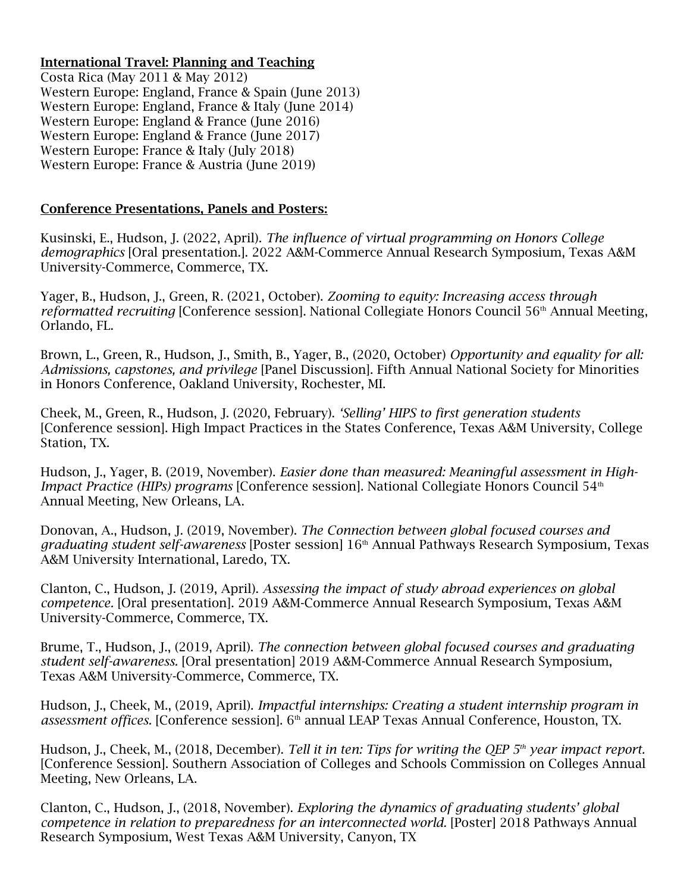#### International Travel: Planning and Teaching

Costa Rica (May 2011 & May 2012) Western Europe: England, France & Spain (June 2013) Western Europe: England, France & Italy (June 2014) Western Europe: England & France (June 2016) Western Europe: England & France (June 2017) Western Europe: France & Italy (July 2018) Western Europe: France & Austria (June 2019)

#### Conference Presentations, Panels and Posters:

Kusinski, E., Hudson, J. (2022, April). *The influence of virtual programming on Honors College demographics* [Oral presentation.]. 2022 A&M-Commerce Annual Research Symposium, Texas A&M University-Commerce, Commerce, TX.

Yager, B., Hudson, J., Green, R. (2021, October). *Zooming to equity: Increasing access through reformatted recruiting* [Conference session]. National Collegiate Honors Council 56<sup>th</sup> Annual Meeting, Orlando, FL.

Brown, L., Green, R., Hudson, J., Smith, B., Yager, B., (2020, October) *Opportunity and equality for all: Admissions, capstones, and privilege* [Panel Discussion]. Fifth Annual National Society for Minorities in Honors Conference, Oakland University, Rochester, MI.

Cheek, M., Green, R., Hudson, J. (2020, February). *'Selling' HIPS to first generation students* [Conference session]. High Impact Practices in the States Conference, Texas A&M University, College Station, TX.

Hudson, J., Yager, B. (2019, November). *Easier done than measured: Meaningful assessment in High-Impact Practice (HIPs) programs* [Conference session]. National Collegiate Honors Council 54<sup>th</sup> Annual Meeting, New Orleans, LA.

Donovan, A., Hudson, J. (2019, November). *The Connection between global focused courses and graduating student self-awareness* [Poster session] 16 th Annual Pathways Research Symposium, Texas A&M University International, Laredo, TX.

Clanton, C., Hudson, J. (2019, April). *Assessing the impact of study abroad experiences on global competence.* [Oral presentation]. 2019 A&M-Commerce Annual Research Symposium, Texas A&M University-Commerce, Commerce, TX.

Brume, T., Hudson, J., (2019, April). *The connection between global focused courses and graduating student self-awareness.* [Oral presentation] 2019 A&M-Commerce Annual Research Symposium, Texas A&M University-Commerce, Commerce, TX.

Hudson, J., Cheek, M., (2019, April). *Impactful internships: Creating a student internship program in*  assessment offices. [Conference session]. 6<sup>th</sup> annual LEAP Texas Annual Conference, Houston, TX.

Hudson, J., Cheek, M., (2018, December). *Tell it in ten: Tips for writing the QEP 5th year impact report.* [Conference Session]. Southern Association of Colleges and Schools Commission on Colleges Annual Meeting, New Orleans, LA.

Clanton, C., Hudson, J., (2018, November). *Exploring the dynamics of graduating students' global competence in relation to preparedness for an interconnected world.* [Poster] 2018 Pathways Annual Research Symposium, West Texas A&M University, Canyon, TX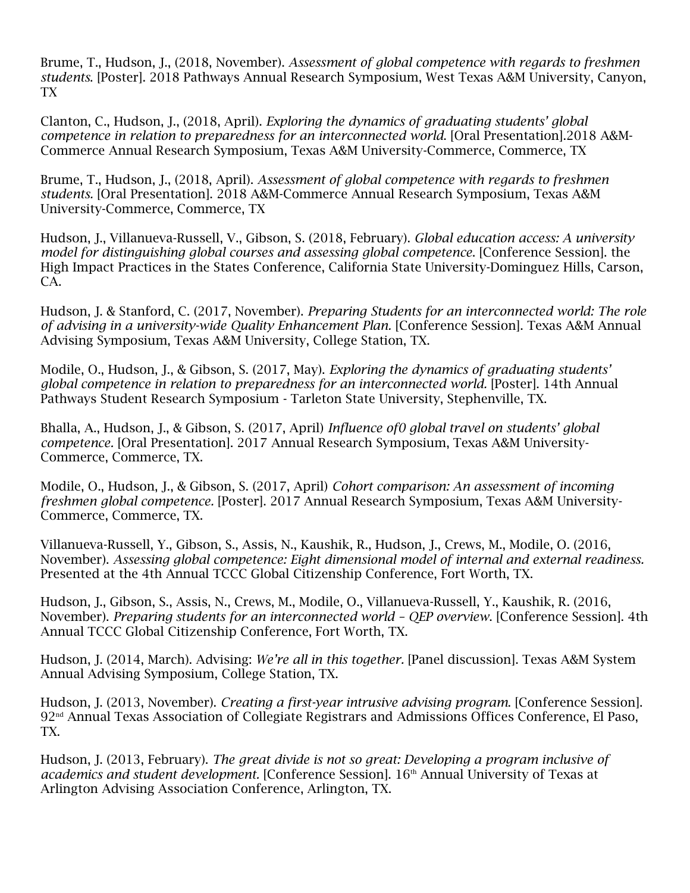Brume, T., Hudson, J., (2018, November). *Assessment of global competence with regards to freshmen students*. [Poster]. 2018 Pathways Annual Research Symposium, West Texas A&M University, Canyon, TX

Clanton, C., Hudson, J., (2018, April). *Exploring the dynamics of graduating students' global competence in relation to preparedness for an interconnected world*. [Oral Presentation].2018 A&M-Commerce Annual Research Symposium, Texas A&M University-Commerce, Commerce, TX

Brume, T., Hudson, J., (2018, April). *Assessment of global competence with regards to freshmen students.* [Oral Presentation]. 2018 A&M-Commerce Annual Research Symposium, Texas A&M University-Commerce, Commerce, TX

Hudson, J., Villanueva-Russell, V., Gibson, S. (2018, February). *Global education access: A university model for distinguishing global courses and assessing global competence*. [Conference Session]. the High Impact Practices in the States Conference, California State University-Dominguez Hills, Carson, CA.

Hudson, J. & Stanford, C. (2017, November). *Preparing Students for an interconnected world: The role of advising in a university-wide Quality Enhancement Plan.* [Conference Session]. Texas A&M Annual Advising Symposium, Texas A&M University, College Station, TX.

Modile, O., Hudson, J., & Gibson, S. (2017, May). *Exploring the dynamics of graduating students' global competence in relation to preparedness for an interconnected world.* [Poster]. 14th Annual Pathways Student Research Symposium - Tarleton State University, Stephenville, TX.

Bhalla, A., Hudson, J., & Gibson, S. (2017, April) *Influence of0 global travel on students' global competence.* [Oral Presentation]. 2017 Annual Research Symposium, Texas A&M University-Commerce, Commerce, TX.

Modile, O., Hudson, J., & Gibson, S. (2017, April) *Cohort comparison: An assessment of incoming freshmen global competence.* [Poster]. 2017 Annual Research Symposium, Texas A&M University-Commerce, Commerce, TX.

Villanueva-Russell, Y., Gibson, S., Assis, N., Kaushik, R., Hudson, J., Crews, M., Modile, O. (2016, November). *Assessing global competence: Eight dimensional model of internal and external readiness.*  Presented at the 4th Annual TCCC Global Citizenship Conference, Fort Worth, TX.

Hudson, J., Gibson, S., Assis, N., Crews, M., Modile, O., Villanueva-Russell, Y., Kaushik, R. (2016, November). *Preparing students for an interconnected world – QEP overview*. [Conference Session]. 4th Annual TCCC Global Citizenship Conference, Fort Worth, TX.

Hudson, J. (2014, March). Advising: *We're all in this together.* [Panel discussion]. Texas A&M System Annual Advising Symposium, College Station, TX.

Hudson, J. (2013, November). *Creating a first-year intrusive advising program*. [Conference Session]. 92 nd Annual Texas Association of Collegiate Registrars and Admissions Offices Conference, El Paso, TX.

Hudson, J. (2013, February). *The great divide is not so great: Developing a program inclusive of academics and student development.* [Conference Session]. 16<sup>th</sup> Annual University of Texas at Arlington Advising Association Conference, Arlington, TX.